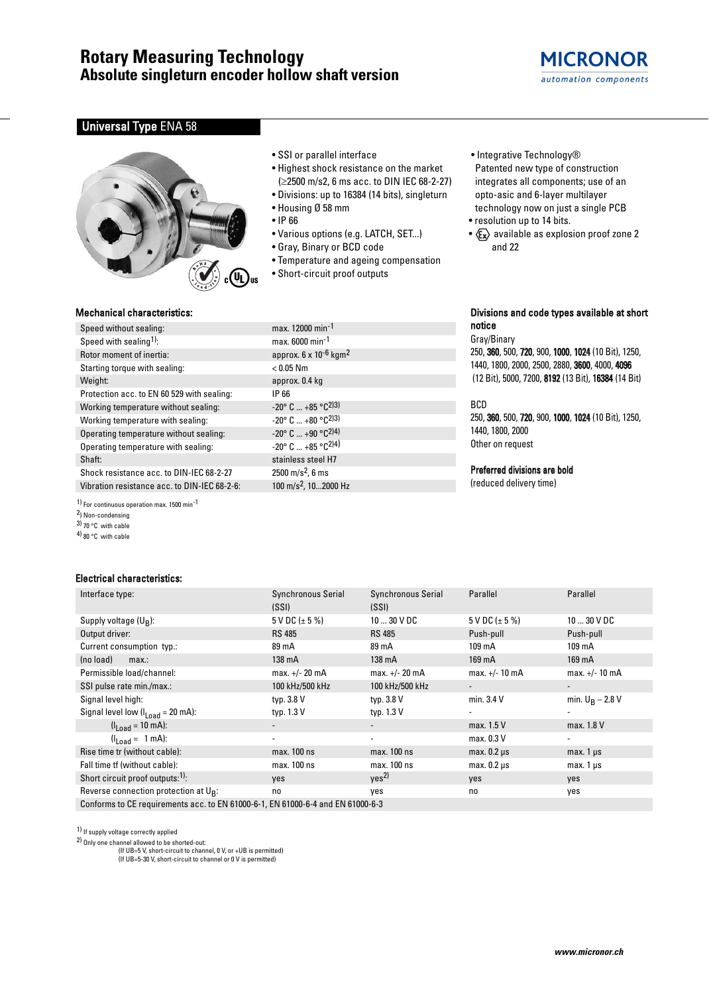## **MICRONOR** automation components

## **Universal Type ENA 58**



## • SSI or parallel interface

- Highest shock resistance on the market (≥2500 m/s2, 6 ms acc. to DIN IEC 68-2-27)
- Divisions: up to 16384 (14 bits), singleturn
- Housing Ø 58 mm
- IP 66
- Various options (e.g. LATCH, SET...)
- Gray, Binary or BCD code
- Temperature and ageing compensation
- Short-circuit proof outputs
- Integrative Technology® Patented new type of construction integrates all components; use of an opto-asic and 6-layer multilayer technology now on just a single PCB
- resolution up to 14 bits.
- $x \rightarrow 2$  available as explosion proof zone 2 and 22

### Mechanical characteristics:

| Speed without sealing:                                  | max. 12000 min <sup>-1</sup>                    |
|---------------------------------------------------------|-------------------------------------------------|
| Speed with sealing <sup>1)</sup> :                      | max. 6000 min <sup>-1</sup>                     |
| Rotor moment of inertia:                                | approx. 6 x 10 <sup>-6</sup> kgm <sup>2</sup>   |
| Starting torque with sealing:                           | $< 0.05$ Nm                                     |
| Weight:                                                 | approx. 0.4 kg                                  |
| Protection acc. to EN 60 529 with sealing:              | IP 66                                           |
| Working temperature without sealing:                    | $-20^{\circ}$ C $+85^{\circ}$ C <sup>2)3)</sup> |
| Working temperature with sealing:                       | $-20^{\circ}$ C $+80^{\circ}$ C <sup>2)3)</sup> |
| Operating temperature without sealing:                  | $-20^{\circ}$ C $+90^{\circ}$ C <sup>2)4)</sup> |
| Operating temperature with sealing:                     | $-20^{\circ}$ C $+85^{\circ}$ C <sup>2)4</sup>  |
| Shaft:                                                  | stainless steel H7                              |
| Shock resistance acc. to DIN-IEC 68-2-27                | $2500 \text{ m/s}^2$ , 6 ms                     |
| Vibration resistance acc. to DIN-IEC 68-2-6:            | 100 m/s <sup>2</sup> , 102000 Hz                |
| 1) For continuous operation max. 1500 min <sup>-1</sup> |                                                 |

- 2) Non-condensing 3) 70 °C with cable
- 4) 80 °C with cable

### Electrical characteristics:

| max. 12000 min <sup>-1</sup>                     |
|--------------------------------------------------|
| max. 6000 min <sup>-1</sup>                      |
| approx. 6 x 10 <sup>-6</sup> kgm <sup>2</sup>    |
| $< 0.05$ Nm                                      |
| approx. 0.4 kg                                   |
| IP 66                                            |
| $-20^{\circ}$ C $+85^{\circ}$ C <sup>2)3)</sup>  |
| $-20^{\circ}$ C $+80^{\circ}$ C <sup>2)3)</sup>  |
| $-20^{\circ}$ C $+90^{\circ}$ C <sup>2)4)</sup>  |
| $-20^{\circ}$ C $+85^{\circ}$ C <sub>2</sub> )4) |
| stainless steel H7                               |
| 2500 m/s <sup>2</sup> , 6 ms                     |
| 100 m/s <sup>2</sup> , 102000 Hz                 |

### Divisions and code types available at short notice

Gray/Binary 250, 360, 500, 720, 900, 1000, 1024 (10 Bit), 1250, 1440, 1800, 2000, 2500, 2880, 3600, 4000, 4096 (12 Bit), 5000, 7200, 8192 (13 Bit), 16384 (14 Bit)

### BCD

250, 360, 500, 720, 900, 1000, 1024 (10 Bit), 1250, 1440, 1800, 2000 Other on request

### Preferred divisions are bold

(reduced delivery time)

| -------------------------                                                       |                           |                          |                    |                    |
|---------------------------------------------------------------------------------|---------------------------|--------------------------|--------------------|--------------------|
| Interface type:                                                                 | <b>Synchronous Serial</b> | Synchronous Serial       | Parallel           | Parallel           |
|                                                                                 | (SSI)                     | (SSI)                    |                    |                    |
| Supply voltage $(U_R)$ :                                                        | $5$ V DC ( $\pm$ 5 %)     | $1030$ V DC              | 5 V DC $(\pm 5\%)$ | $1030$ V DC        |
| Output driver:                                                                  | <b>RS 485</b>             | <b>RS 485</b>            | Push-pull          | Push-pull          |
| Current consumption typ.:                                                       | 89 mA                     | 89 mA                    | 109 mA             | 109 mA             |
| (no load)<br>max.:                                                              | 138 mA                    | 138 mA                   | 169 mA             | 169 mA             |
| Permissible load/channel:                                                       | max. +/- 20 mA            | $max. +/- 20 mA$         | $max. +/- 10 mA$   | $max. +/- 10 mA$   |
| SSI pulse rate min./max.:                                                       | 100 kHz/500 kHz           | 100 kHz/500 kHz          |                    |                    |
| Signal level high:                                                              | typ. 3.8 V                | typ. 3.8 V               | min. 3.4 V         | min. $U_R - 2.8 V$ |
| Signal level low $(II_{\text{nad}} = 20 \text{ mA})$ :                          | typ. 1.3 V                | typ. 1.3 V               |                    | ۰                  |
| $(l_{1,0} = 10 \text{ mA})$ :                                                   |                           |                          | max. 1.5 V         | max. 1.8 V         |
| $(l_{\text{Load}} = 1 \text{ mA})$ :                                            | ٠                         | $\overline{\phantom{0}}$ | max. 0.3 V         | ٠                  |
| Rise time tr (without cable):                                                   | max. 100 ns               | max. 100 ns              | $max. 0.2 \mu s$   | $max.1 \,\mu s$    |
| Fall time tf (without cable):                                                   | max. 100 ns               | max. 100 ns              | $max. 0.2 \mu s$   | $max.1 \mu s$      |
| Short circuit proof outputs: <sup>1)</sup> :                                    | yes                       | Yes <sup>2</sup>         | yes                | yes                |
| Reverse connection protection at U <sub>B</sub> :                               | no                        | yes                      | no                 | yes                |
| Conforms to CE requirements acc. to EN 61000-6-1, EN 61000-6-4 and EN 61000-6-3 |                           |                          |                    |                    |

1) If supply voltage correctly applied

2) Only one channel allowed to be shorted-out:

(If UB=5 V, short-circuit to channel, 0 V, or +UB is permitted)

(If UB=5-30 V, short-circuit to channel or 0 V is permitted)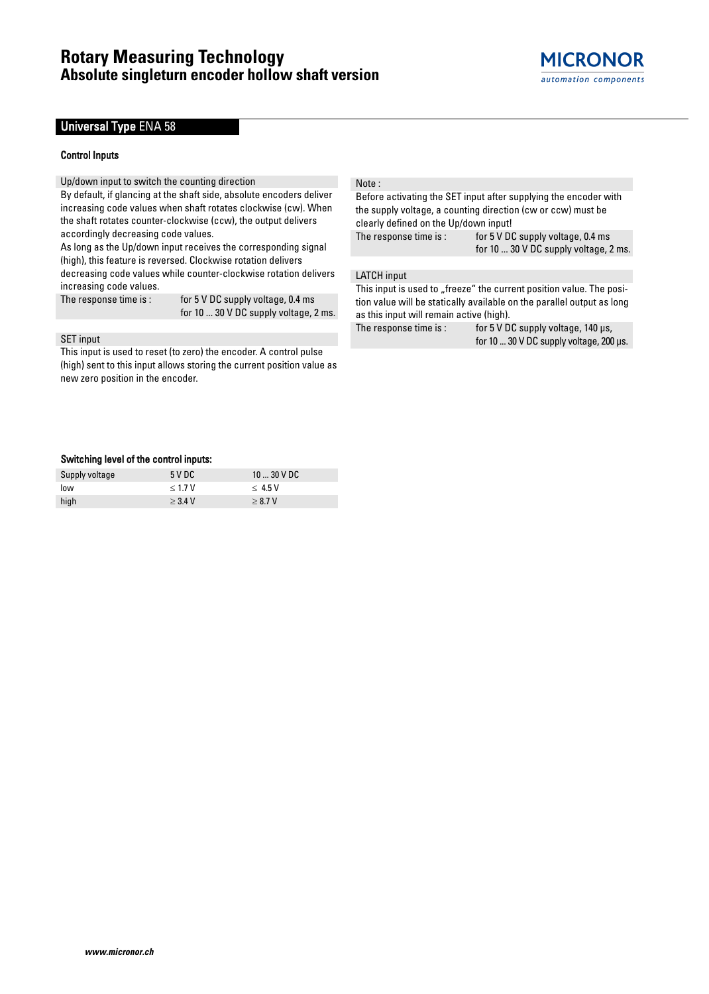## Universal Type ENA 58

### Control Inputs

Up/down input to switch the counting direction

By default, if glancing at the shaft side, absolute encoders deliver increasing code values when shaft rotates clockwise (cw). When the shaft rotates counter-clockwise (ccw), the output delivers accordingly decreasing code values.

As long as the Up/down input receives the corresponding signal (high), this feature is reversed. Clockwise rotation delivers decreasing code values while counter-clockwise rotation delivers increasing code values.

The response time is: for 5 V DC supply voltage, 0.4 ms for 10 ... 30 V DC supply voltage, 2 ms.

## SET input

This input is used to reset (to zero) the encoder. A control pulse (high) sent to this input allows storing the current position value as new zero position in the encoder.

#### Note :

Before activating the SET input after supplying the encoder with the supply voltage, a counting direction (cw or ccw) must be clearly defined on the Up/down input! The response time is: for 5 V DC supply voltage, 0.4 ms for 10 ... 30 V DC supply voltage, 2 ms.

LATCH input

This input is used to "freeze" the current position value. The position value will be statically available on the parallel output as long as this input will remain active (high).

The response time is : for 5 V DC supply voltage, 140 µs, for 10 ... 30 V DC supply voltage, 200 µs.

### Switching level of the control inputs:

| Supply voltage | 5 V DC    | $1030$ V DC |
|----------------|-----------|-------------|
| low            | < 1.7 V   | $<$ 4.5 V   |
| high           | $>$ 3.4 V | > 8.7 V     |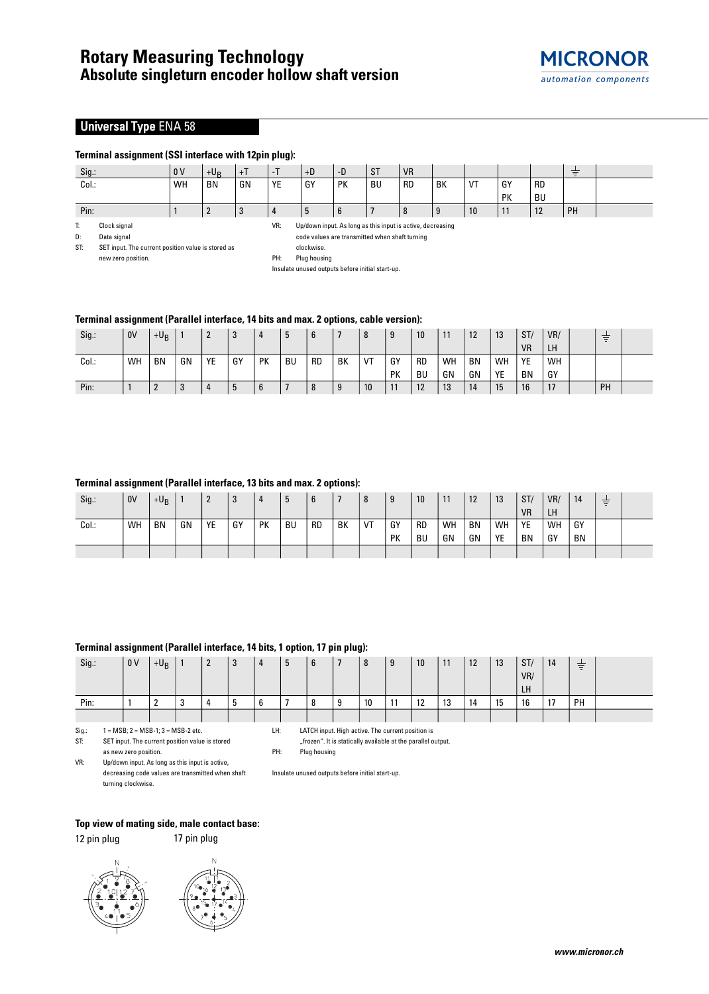## **Universal Type ENA 58**

### **Terminal assignment (SSI interface with 12pin plug):**

| Sig.: | 0 <sup>V</sup> | $+U_B$    |    | $\sim$ 1 | $+D$    | -D        | <b>ST</b> | <b>VR</b> |          |    |           |           | $\sim$<br>$\sim$ |  |
|-------|----------------|-----------|----|----------|---------|-----------|-----------|-----------|----------|----|-----------|-----------|------------------|--|
| Col.: | WH             | <b>BN</b> | GN | YE       | GY      | <b>PK</b> | <b>BU</b> | <b>RD</b> | BK       | VT | GY        | <b>RD</b> |                  |  |
|       |                |           |    |          |         |           |           |           |          |    | <b>PK</b> | <b>BU</b> |                  |  |
| Pin:  |                |           |    |          | $\cdot$ | 6         |           | -8        | $\Omega$ | 10 | . .       | 12        | PH               |  |

T: Clock signal

D: Data signal

VR: Up/down input. As long as this input is active, decreasing code values are transmitted when shaft turning clockwise.

ST: SET input. The current position value is stored as new zero position.

Insulate unused outputs before initial start-up.

## **Terminal assignment (Parallel interface, 14 bits and max. 2 options, cable version):**

| Sig.: | <b>OV</b> | $+U_B$    |    | -  |    |    | ູ         |           |    |    | 9         | 10        | 11 | $1^{\circ}$<br>14 | 13 | ST/       | VR/       | $-1$<br>$\sim$<br>$\sim$ |  |
|-------|-----------|-----------|----|----|----|----|-----------|-----------|----|----|-----------|-----------|----|-------------------|----|-----------|-----------|--------------------------|--|
|       |           |           |    |    |    |    |           |           |    |    |           |           |    |                   |    | <b>VR</b> | <b>LH</b> |                          |  |
| Col.: | <b>WH</b> | <b>BN</b> | GN | YE | GY | PK | <b>BU</b> | <b>RD</b> | BK | VT | GY        | <b>RD</b> | WH | <b>BN</b>         | WH | YE        | WH        |                          |  |
|       |           |           |    |    |    |    |           |           |    |    | <b>PK</b> | BU        | GN | GN                | YE | <b>BN</b> | GY        |                          |  |
| Pin:  |           | n<br>∸    |    |    |    | o  |           |           | 9  | 10 | 11        | 12        | 13 | 14                | 15 | 16        | 17        | PH                       |  |

### **Terminal assignment (Parallel interface, 13 bits and max. 2 options):**

| Sig.: | 0V | $+U_B$    |    | -  | ູບ |    | b         |           |    | $\Omega$ | q<br>J | 10        | 11 | 12        | 13 | ST/       | VR/       | 14        | $\overline{\phantom{0}}$<br>$=$ |  |
|-------|----|-----------|----|----|----|----|-----------|-----------|----|----------|--------|-----------|----|-----------|----|-----------|-----------|-----------|---------------------------------|--|
|       |    |           |    |    |    |    |           |           |    |          |        |           |    |           |    |           |           |           |                                 |  |
|       |    |           |    |    |    |    |           |           |    |          |        |           |    |           |    | <b>VR</b> | <b>LH</b> |           |                                 |  |
| Col.: | WH | <b>BN</b> | GN | YE | GY | PK | <b>BU</b> | <b>RD</b> | BK | VT       | GY     | <b>RD</b> | WH | <b>BN</b> | WH | YE        | WH        | GY        |                                 |  |
|       |    |           |    |    |    |    |           |           |    |          | PK     | BU        | GN | GN        | YE | <b>BN</b> | GY        | <b>BN</b> |                                 |  |
|       |    |           |    |    |    |    |           |           |    |          |        |           |    |           |    |           |           |           |                                 |  |

## **Terminal assignment (Parallel interface, 14 bits, 1 option, 17 pin plug):**

| Sig.: | 0V | $+ \mathsf{U}_{\mathsf{B}}$ |                 | n<br>- | 3 | 4           | 5 | 6 |        | 8  | 9       | 10         | 11 | 12 | 13 | ST/ | 14                 | $\overline{\phantom{0}}$<br>Ξ |  |
|-------|----|-----------------------------|-----------------|--------|---|-------------|---|---|--------|----|---------|------------|----|----|----|-----|--------------------|-------------------------------|--|
|       |    |                             |                 |        |   |             |   |   |        |    |         |            |    |    |    | VR/ |                    |                               |  |
|       |    |                             |                 |        |   |             |   |   |        |    |         |            |    |    |    | LH  |                    |                               |  |
| Pin:  |    |                             | $\sqrt{2}$<br>ູ |        | C | $\sim$<br>b |   | 8 | Ω<br>J | 10 | 11<br>. | 12<br>- 14 | 13 | 14 | 15 | 16  | 17<br>$\mathbf{L}$ | PH                            |  |
|       |    |                             |                 |        |   |             |   |   |        |    |         |            |    |    |    |     |                    |                               |  |

Sig.:  $1 = MSB$ ;  $2 = MSB-1$ ;  $3 = MSB-2$  etc. ST: SET input. The current position value is stored as new zero position.

LH: LATCH input. High active. The current position is

"frozen". It is statically available at the parallel output.

PH: Plug housing

VR: Up/down input. As long as this input is active, decreasing code values are transmitted when shaft turning clockwise.

Insulate unused outputs before initial start-up.

### **Top view of mating side, male contact base:**

12 pin plug 17 pin plug





PH: Plug housing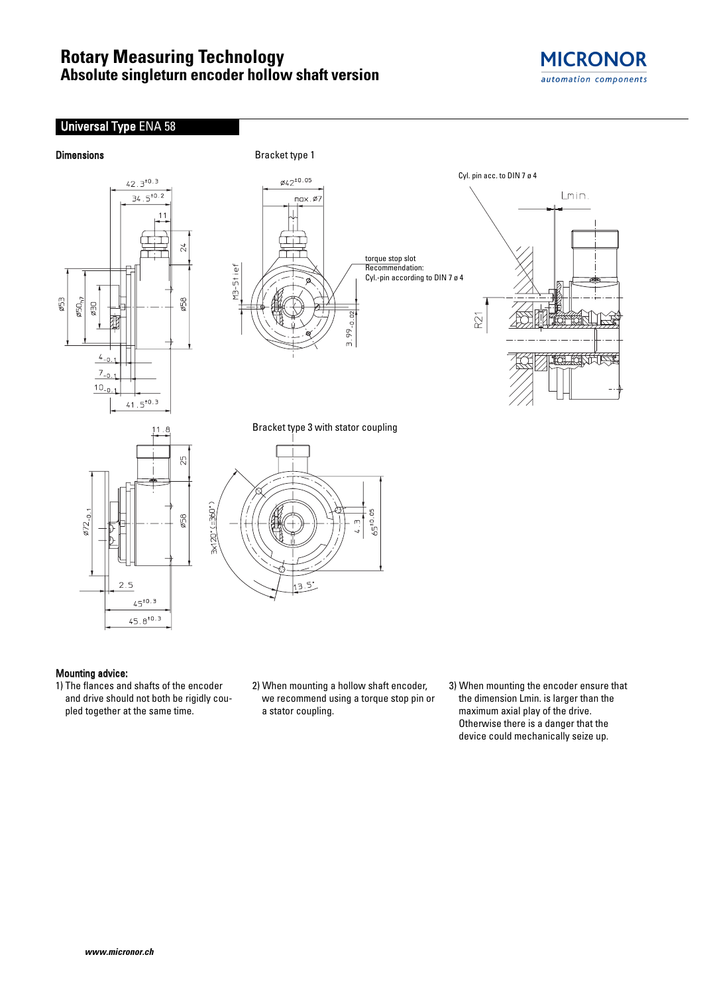# **Rotary Measuring Technology Absolute singleturn encoder hollow shaft version**





### Mounting advice:

- 1) The flances and shafts of the encoder and drive should not both be rigidly coupled together at the same time.
- 2) When mounting a hollow shaft encoder, we recommend using a torque stop pin or a stator coupling.
- 3) When mounting the encoder ensure that the dimension Lmin. is larger than the maximum axial play of the drive. Otherwise there is a danger that the device could mechanically seize up.